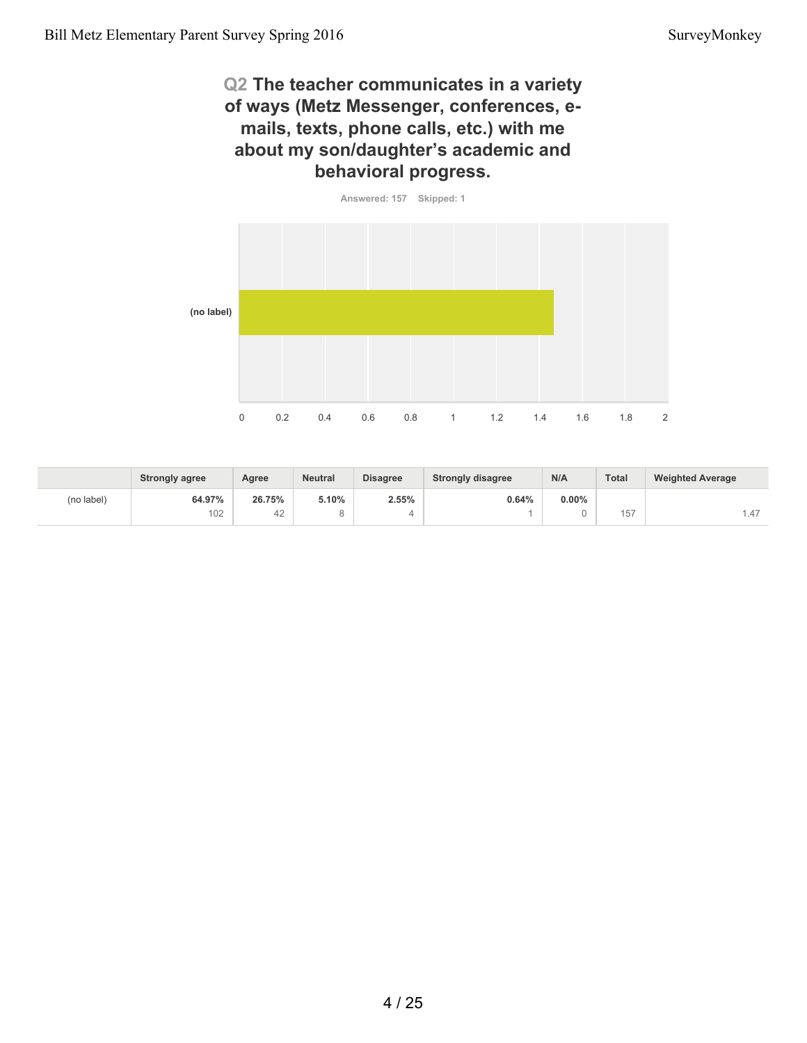## **Q2 The teacher communicates in a variety of ways (Metz Messenger, conferences, emails, texts, phone calls, etc.) with me about my son/daughter's academic and behavioral progress.**



|            | <b>Strongly agree</b> | Agree  | <b>Neutral</b> | <b>Disagree</b> | <b>Strongly disagree</b> | N/A      | Total          | <b>Weighted Average</b> |
|------------|-----------------------|--------|----------------|-----------------|--------------------------|----------|----------------|-------------------------|
| (no label) | 64.97%                | 26.75% | 5.10%          | 2.55%           | 0.64%                    | $0.00\%$ |                |                         |
|            | 102                   | 42     |                |                 |                          |          | $- - -$<br>157 | ، 1.4                   |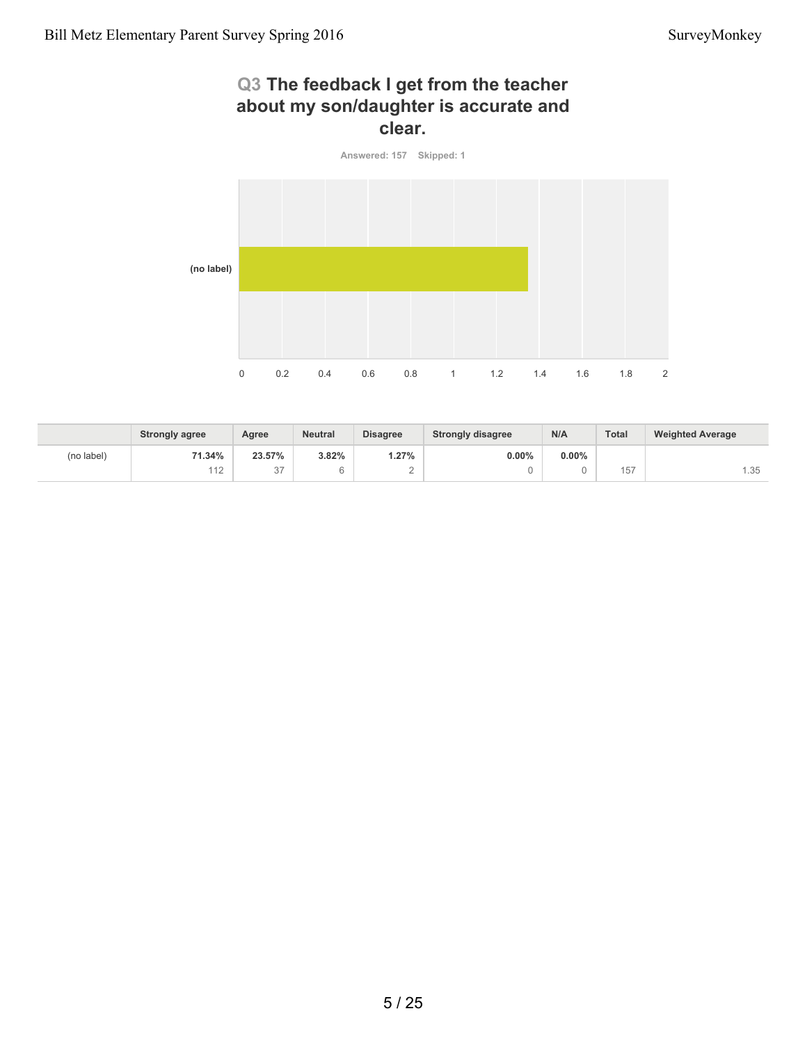# **Q3 The feedback I get from the teacher about my son/daughter is accurate and clear.**



|            | <b>Strongly agree</b> | Agree                  | <b>Neutral</b> | <b>Disagree</b> | <b>Strongly disagree</b> | N/A      | <b>Total</b> | <b>Weighted Average</b> |
|------------|-----------------------|------------------------|----------------|-----------------|--------------------------|----------|--------------|-------------------------|
| (no label) | 71.34%                | 23.57%                 | 3.82%          | 1.27%           | $0.00\%$                 | $0.00\%$ |              |                         |
|            | 112                   | $\sim$<br>$\checkmark$ |                | <u>_</u>        |                          |          | 157          | 1.35                    |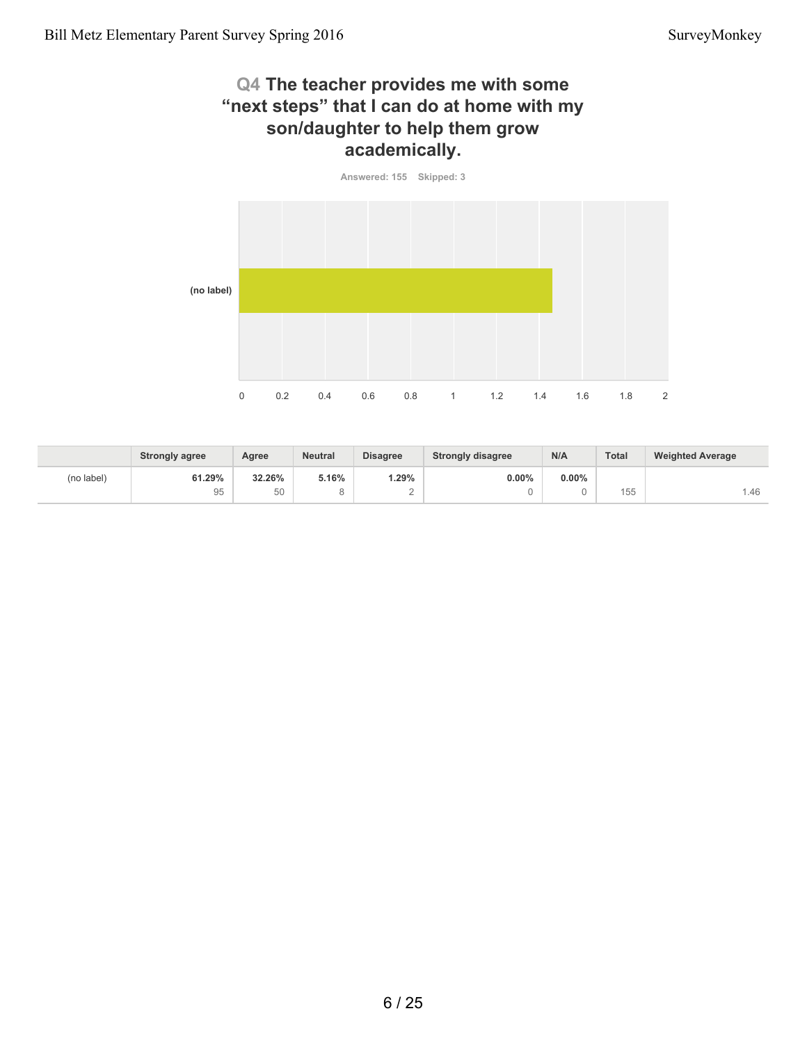## **Q4 The teacher provides me with some "next steps" that I can do at home with my son/daughter to help them grow academically.**

**Answered: 155 Skipped: 3**



|            | <b>Strongly agree</b> | Agree  | <b>Neutral</b> | <b>Disagree</b> | <b>Strongly disagree</b> | N/A      | Total | <b>Weighted Average</b> |
|------------|-----------------------|--------|----------------|-----------------|--------------------------|----------|-------|-------------------------|
| (no label) | 61.29%                | 32.26% | 5.16%          | .29%            | $0.00\%$                 | $0.00\%$ |       |                         |
|            | 95                    | 50     |                | -               |                          |          | 155   | 1.46                    |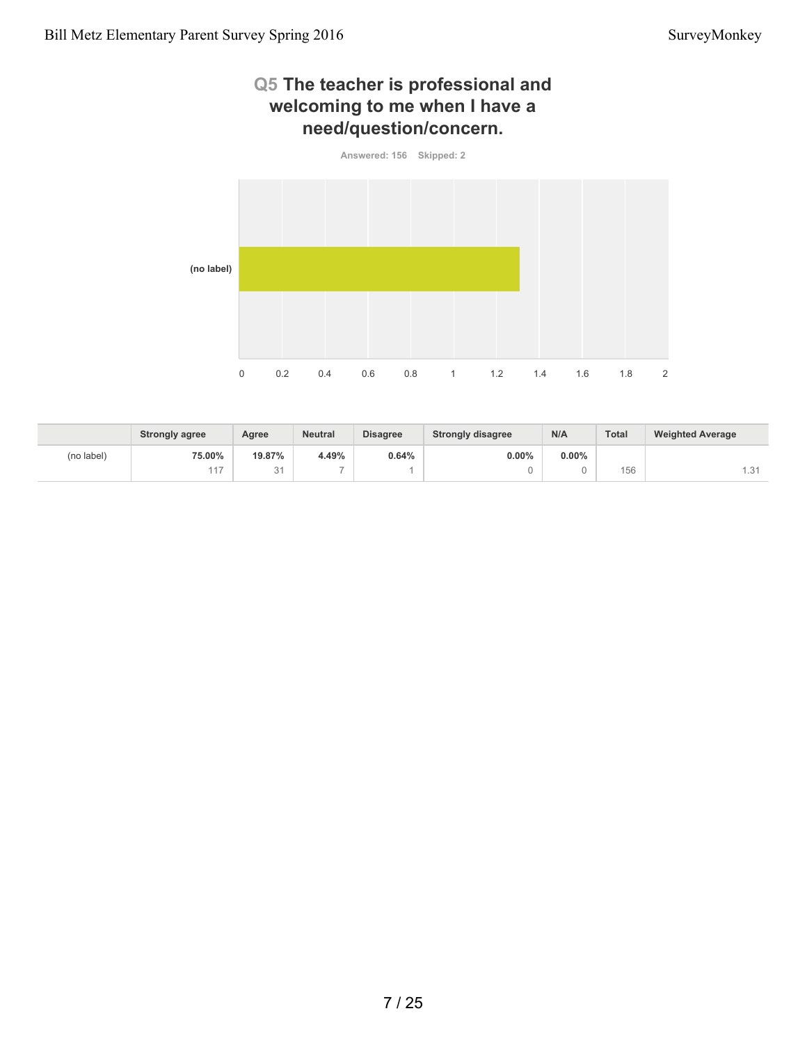# **Q5 The teacher is professional and welcoming to me when I have a need/question/concern.**



|            | <b>Strongly agree</b> | Agree                      | <b>Neutral</b> | <b>Disagree</b> | <b>Strongly disagree</b> | N/A      | <b>Total</b> | <b>Weighted Average</b>  |
|------------|-----------------------|----------------------------|----------------|-----------------|--------------------------|----------|--------------|--------------------------|
| (no label) | 75.00%                | 19.87%                     | 4.49%          | 0.64%           | 0.00%                    | $0.00\%$ |              |                          |
|            | 117                   | $\bigcap$ $\bigcap$<br>ູບ. | $\sim$         |                 |                          |          | 156          | $\sim$ $\lambda$<br>۰. ت |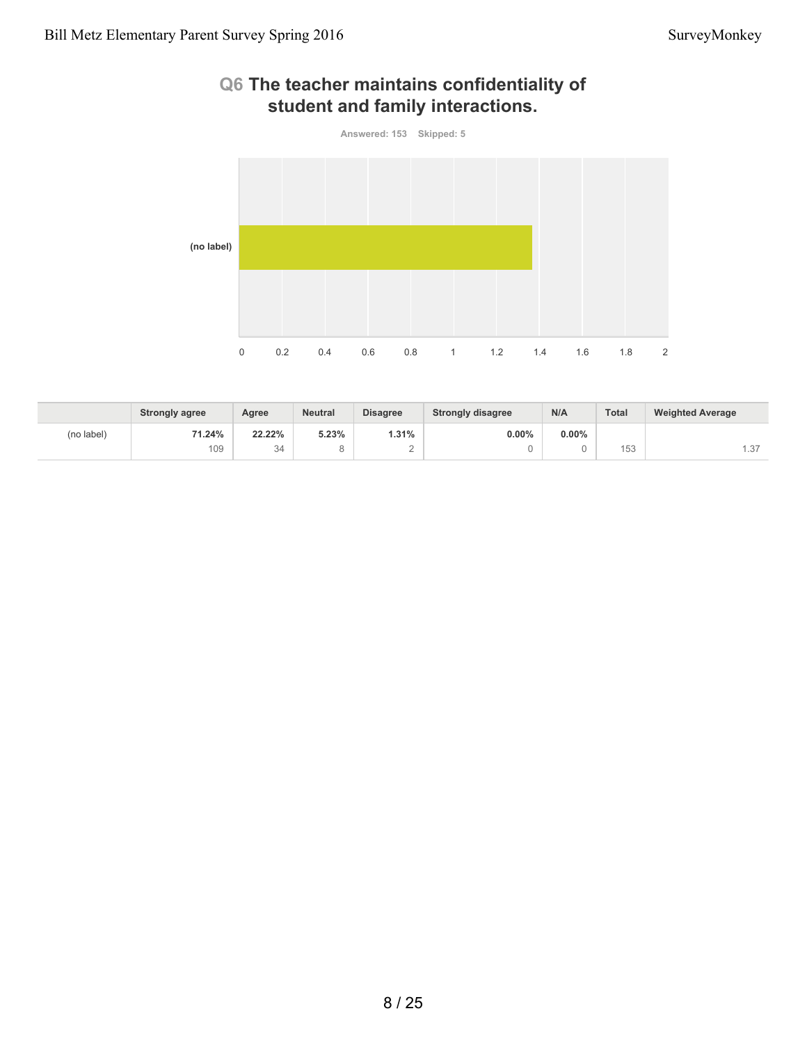



|            | <b>Strongly agree</b> | Agree  | <b>Neutral</b> | <b>Disagree</b> | <b>Strongly disagree</b> | N/A      | <b>Total</b>              | <b>Weighted Average</b> |
|------------|-----------------------|--------|----------------|-----------------|--------------------------|----------|---------------------------|-------------------------|
| (no label) | 71.24%                | 22.22% | 5.23%          | 1.31%           | $0.00\%$                 | $0.00\%$ |                           |                         |
|            | 109                   | 34     |                |                 |                          |          | $1 - 0$<br>$\sim$<br>טט ו | $\sim$<br>.37           |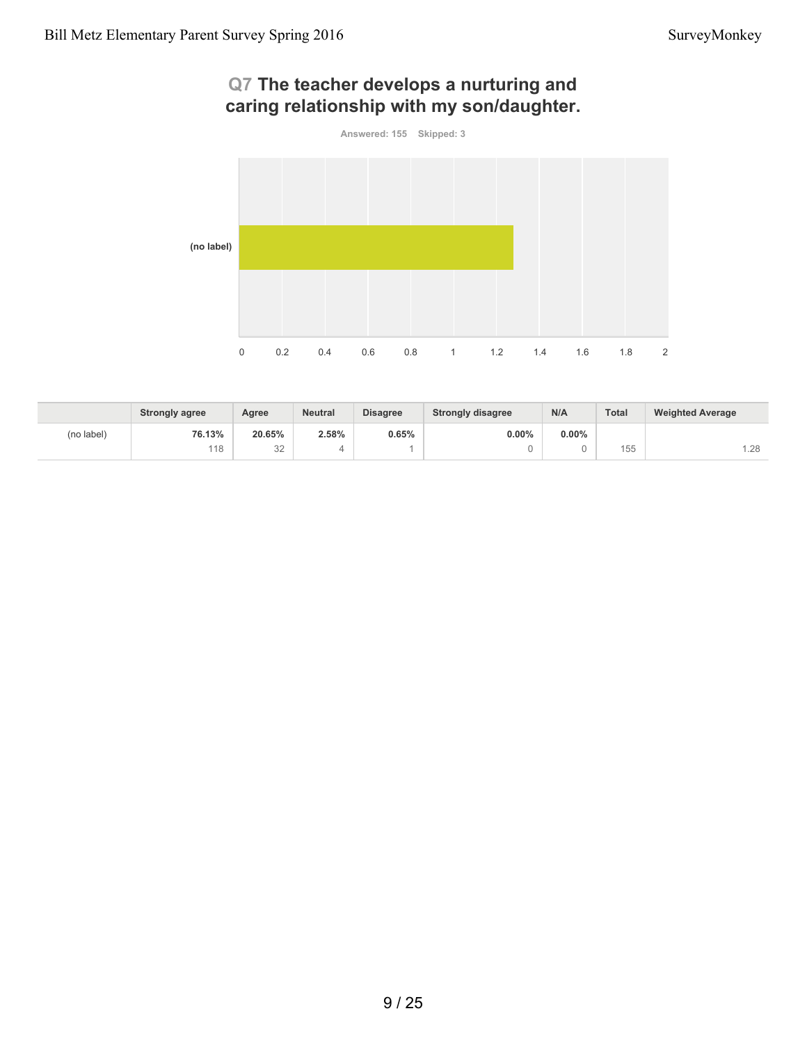# **Q7 The teacher develops a nurturing and caring relationship with my son/daughter.**



|            | <b>Strongly agree</b> | Agree        | <b>Neutral</b> | <b>Disagree</b> | <b>Strongly disagree</b> | N/A      | Total        | <b>Weighted Average</b> |
|------------|-----------------------|--------------|----------------|-----------------|--------------------------|----------|--------------|-------------------------|
| (no label) | 76.13%                | 20.65%       | 2.58%          | 0.65%           | $0.00\%$                 | $0.00\%$ |              |                         |
|            | 118                   | $\cap$<br>◡∠ |                |                 |                          |          | 155<br>1 J J | .28                     |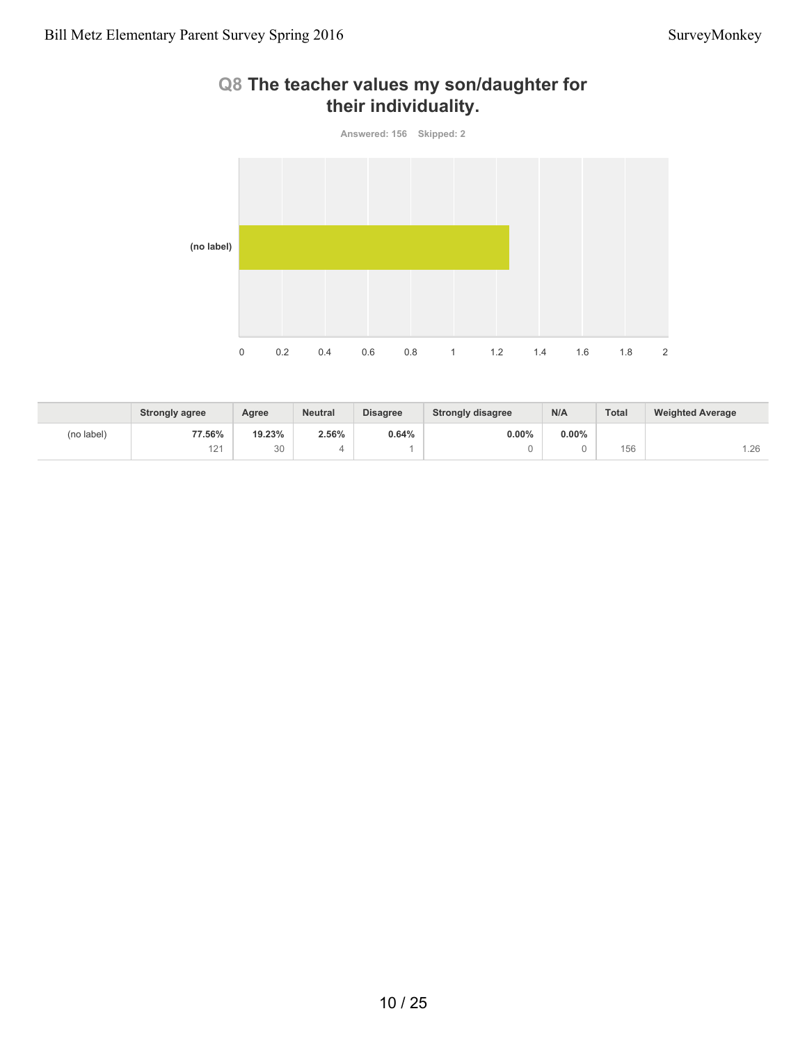# **Q8 The teacher values my son/daughter for their individuality.**



|            | <b>Strongly agree</b>                | Agree    | <b>Neutral</b> | <b>Disagree</b> | <b>Strongly disagree</b> | N/A      | Total | <b>Weighted Average</b> |
|------------|--------------------------------------|----------|----------------|-----------------|--------------------------|----------|-------|-------------------------|
| (no label) | 77.56%                               | 19.23%   | 2.56%          | 0.64%           | 0.00%                    | $0.00\%$ |       |                         |
|            | $\Lambda$ $\Omega$<br>$\overline{2}$ | 20<br>υU |                |                 |                          |          | 156   | .26                     |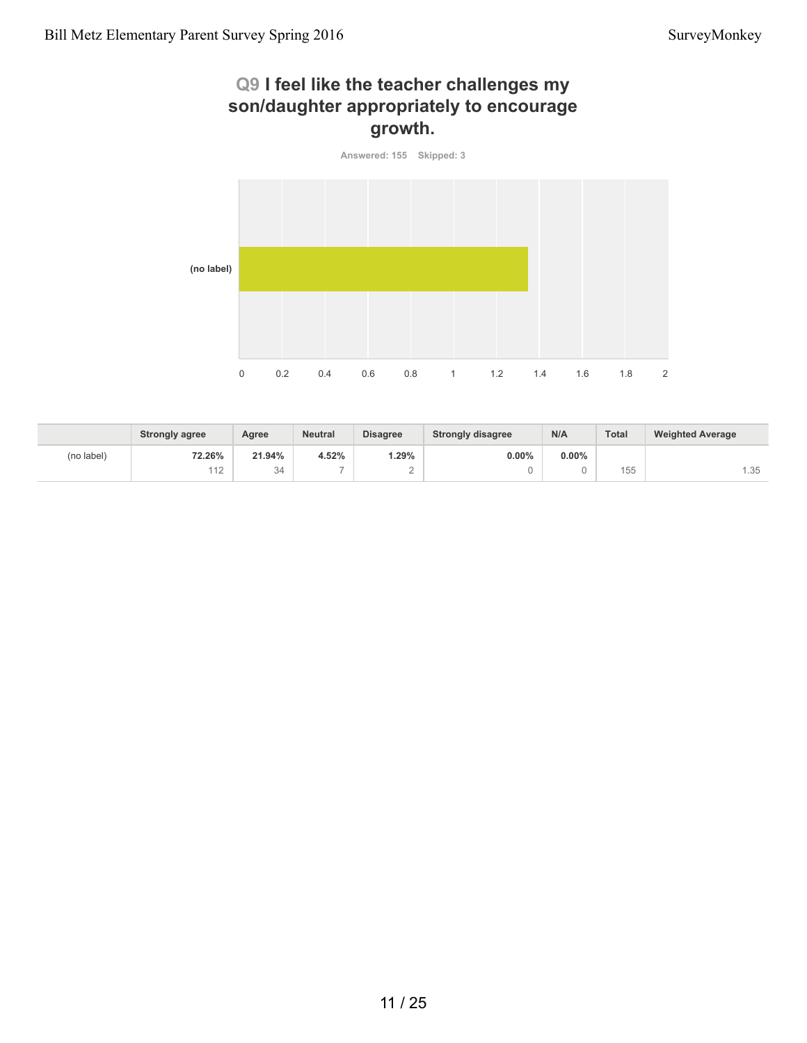# **Q9 I feel like the teacher challenges my son/daughter appropriately to encourage growth.**



|            | <b>Strongly agree</b> | Agree  | <b>Neutral</b>           | <b>Disagree</b> | <b>Strongly disagree</b> | N/A      | <b>Total</b> | <b>Weighted Average</b> |
|------------|-----------------------|--------|--------------------------|-----------------|--------------------------|----------|--------------|-------------------------|
| (no label) | 72.26%                | 21.94% | 4.52%                    | $.29\%$         | $0.00\%$                 | $0.00\%$ |              |                         |
|            | 112                   | 34     | $\overline{\phantom{a}}$ | $\sqrt{2}$      |                          |          | 155          | 1.35                    |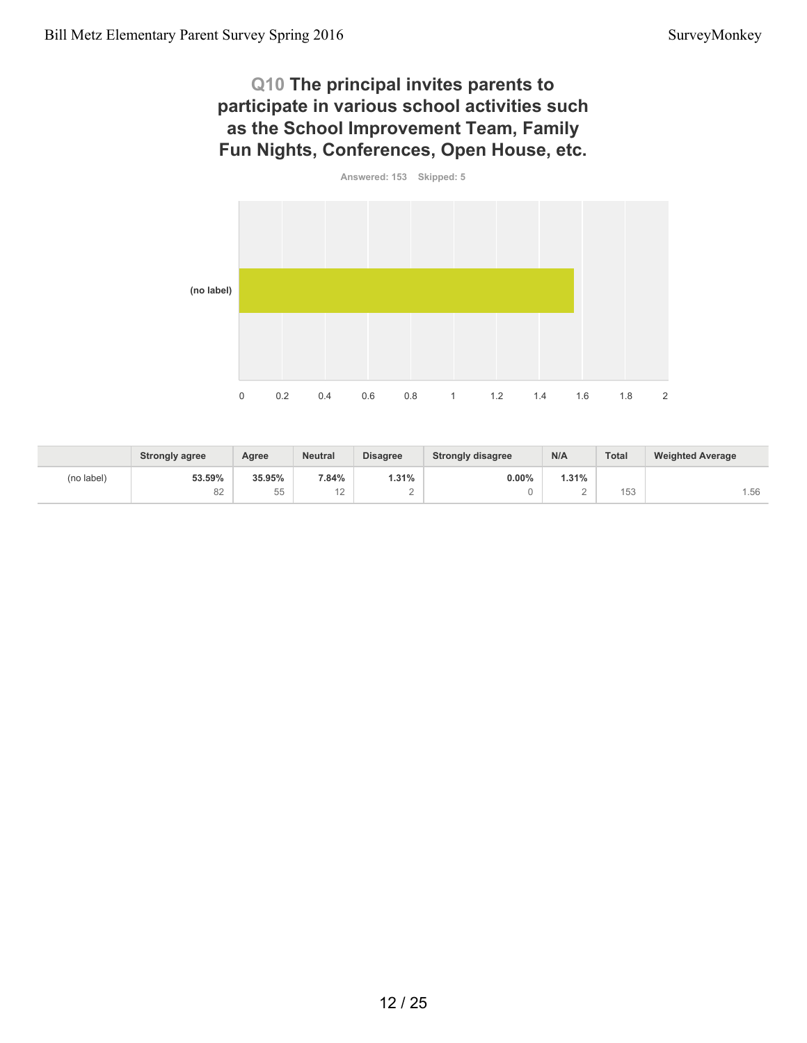## **Q10 The principal invites parents to participate in various school activities such as the School Improvement Team, Family Fun Nights, Conferences, Open House, etc.**



|            | <b>Strongly agree</b> | Agree              | <b>Neutral</b> | <b>Disagree</b> | <b>Strongly disagree</b> | N/A          | <b>Total</b>            | <b>Weighted Average</b> |
|------------|-----------------------|--------------------|----------------|-----------------|--------------------------|--------------|-------------------------|-------------------------|
| (no label) | 53.59%                | 35.95%             | 7.84%          | .31%            | 0.00%                    | <b>1.31%</b> |                         |                         |
|            | 82                    | $- -$<br>h h<br>JJ | $\sim$<br>. .  | ∼               |                          | ∼            | 15 <sup>o</sup><br>טט ו | .56                     |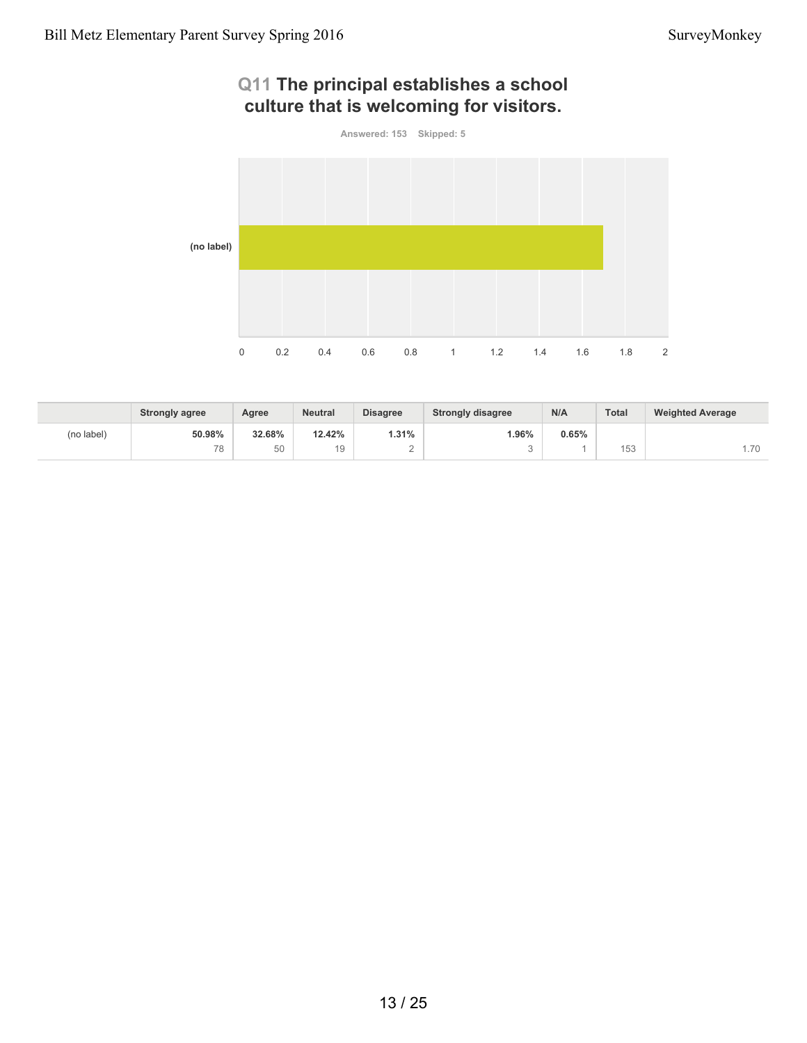# **Q11 The principal establishes a school culture that is welcoming for visitors. Answered: 153 Skipped: 5 (no label)**

0 0.2 0.4 0.6 0.8 1 1.2 1.4 1.6 1.8 2

|            | <b>Strongly agree</b> | Agree  | <b>Neutral</b> | <b>Disagree</b> | <b>Strongly disagree</b> | N/A   | Total                   | <b>Weighted Average</b> |
|------------|-----------------------|--------|----------------|-----------------|--------------------------|-------|-------------------------|-------------------------|
| (no label) | 50.98%                | 32.68% | 12.42%         | 1.31%           | $1.96\%$                 | 0.65% |                         |                         |
|            | 78                    | 50     |                | -               |                          |       | $1 - 0$<br>h d<br>ں ں ا | .70                     |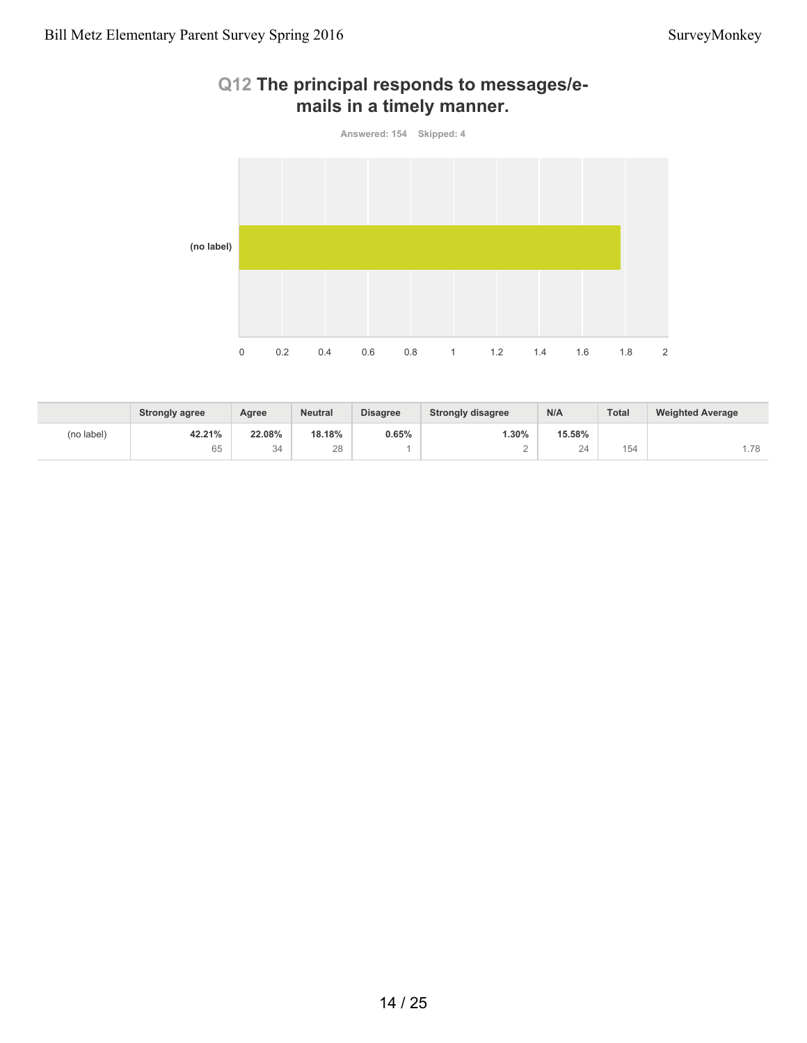

# **Q12 The principal responds to messages/emails in a timely manner.**

|            | <b>Strongly agree</b> | Agree  | <b>Neutral</b> | <b>Disagree</b> | <b>Strongly disagree</b> | N/A    | <b>Total</b> | <b>Weighted Average</b> |
|------------|-----------------------|--------|----------------|-----------------|--------------------------|--------|--------------|-------------------------|
| (no label) | 42.21%                | 22.08% | 18.18%         | $0.65\%$        | $1.30\%$                 | 15.58% |              |                         |
|            | 65                    | 34     | 28             |                 |                          | 24     | 154          | .78                     |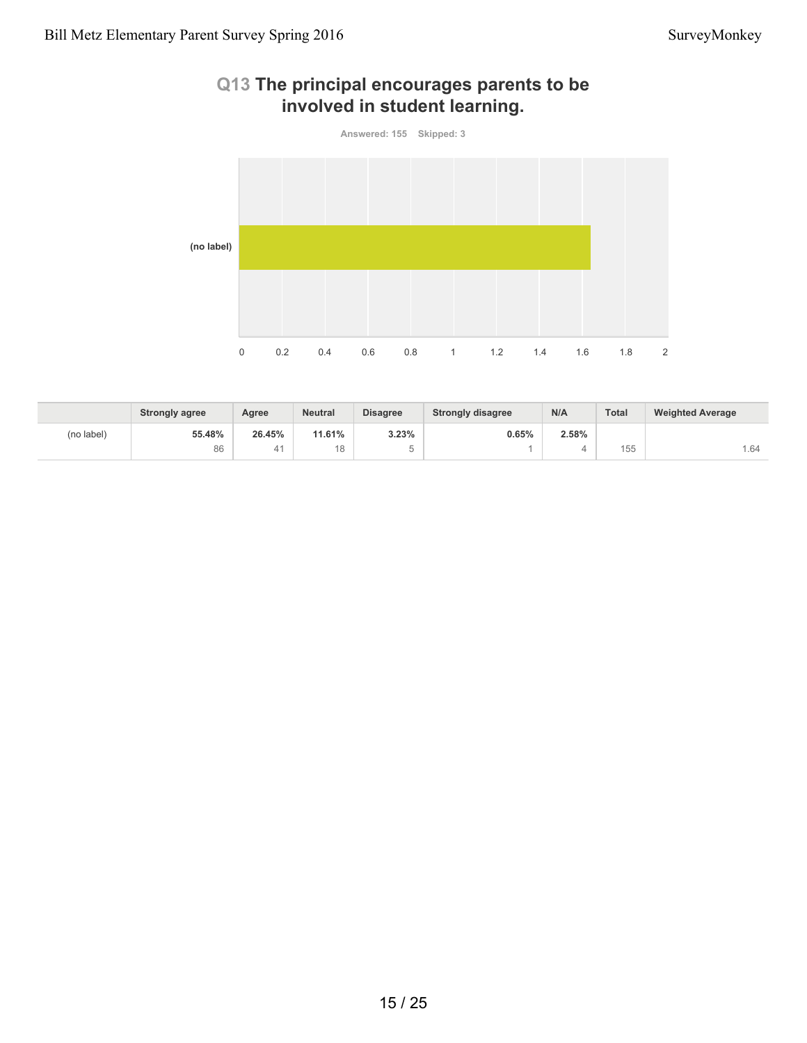

# **Q13 The principal encourages parents to be involved in student learning.**

|            | <b>Strongly agree</b> | Agree  | <b>Neutral</b> | <b>Disagree</b>                     | <b>Strongly disagree</b> | N/A   | <b>Total</b> | <b>Weighted Average</b> |
|------------|-----------------------|--------|----------------|-------------------------------------|--------------------------|-------|--------------|-------------------------|
| (no label) | 55.48%                | 26.45% | 11.61%         | 3.23%                               | 0.65%                    | 2.58% |              |                         |
|            | 86                    | 41     |                | $\overline{\phantom{a}}$<br>ı.<br>J |                          |       | 155          | . 64                    |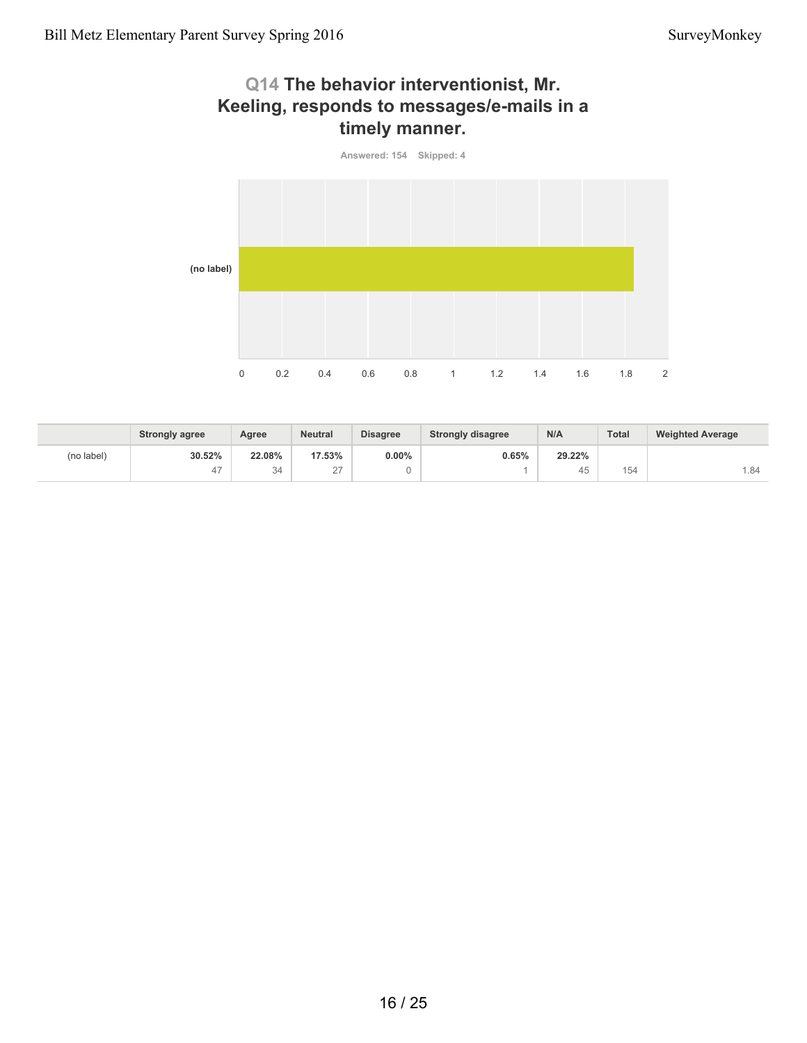# **Q14 The behavior interventionist, Mr. Keeling, responds to messages/e-mails in a timely manner.**



|            | <b>Strongly agree</b> | Agree  | <b>Neutral</b> | <b>Disagree</b> | <b>Strongly disagree</b> | N/A                  | <b>Total</b> | <b>Weighted Average</b> |
|------------|-----------------------|--------|----------------|-----------------|--------------------------|----------------------|--------------|-------------------------|
| (no label) | 30.52%                | 22.08% | 17.53%         | $0.00\%$        | 0.65%                    | 29.22%               |              |                         |
|            | 47                    | 34     | $\sim$<br>-    |                 |                          | $\overline{a}$<br>45 | 154          | . 84                    |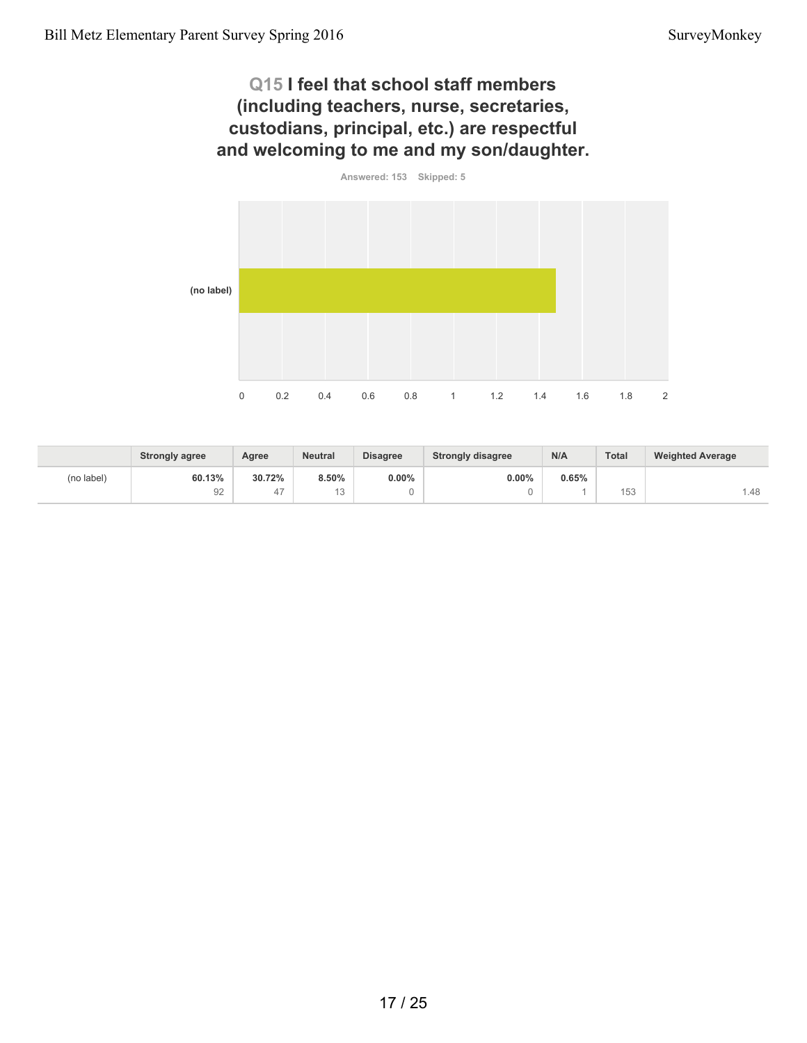# **Q15 I feel that school staff members (including teachers, nurse, secretaries, custodians, principal, etc.) are respectful and welcoming to me and my son/daughter.**



|            | <b>Strongly agree</b> | Agree  | <b>Neutral</b> | <b>Disagree</b> | <b>Strongly disagree</b> | N/A   | Total | <b>Weighted Average</b> |
|------------|-----------------------|--------|----------------|-----------------|--------------------------|-------|-------|-------------------------|
| (no label) | 60.13%                | 30.72% | 8.50%          | $0.00\%$        | 0.00%                    | 0.65% |       |                         |
|            | 92                    | 41     | $\sim$<br>◡    |                 |                          |       | 153   | 1.48                    |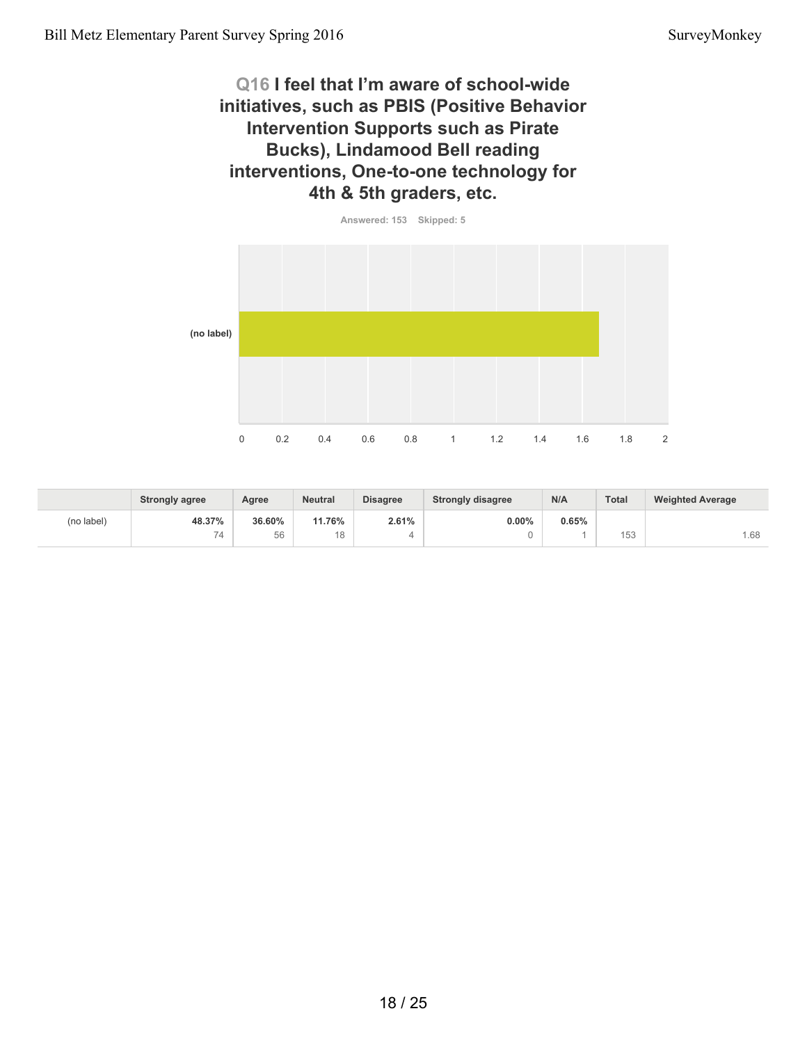## **Q16 I feel that I'm aware of school-wide initiatives, such as PBIS (Positive Behavior Intervention Supports such as Pirate Bucks), Lindamood Bell reading interventions, One-to-one technology for 4th & 5th graders, etc.**



|            | <b>Strongly agree</b> | Agree  | <b>Neutral</b> | <b>Disagree</b> | <b>Strongly disagree</b> | N/A   | Total        | <b>Weighted Average</b> |
|------------|-----------------------|--------|----------------|-----------------|--------------------------|-------|--------------|-------------------------|
| (no label) | 48.37%                | 36.60% | 11.76%         | 2.61%           | 0.00%                    | 0.65% |              |                         |
|            | 74                    | 56     | $\circ$        |                 |                          |       | 157<br>1 J J | .68                     |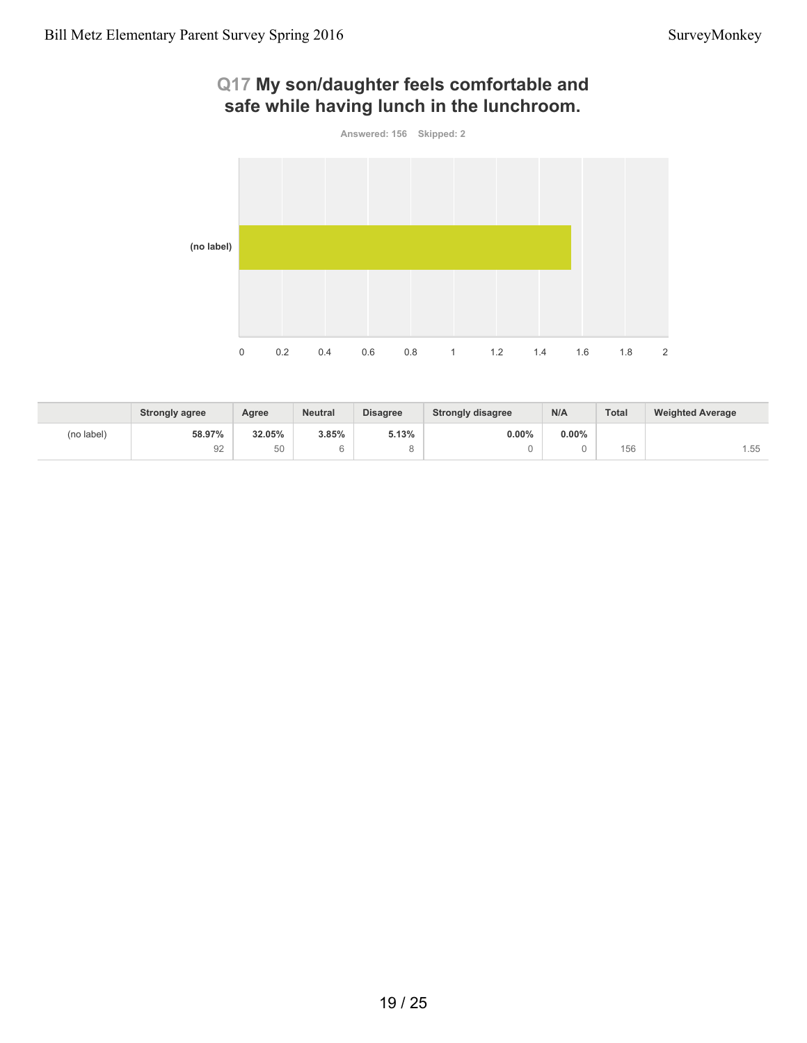# **Q17 My son/daughter feels comfortable and safe while having lunch in the lunchroom.**



|            | <b>Strongly agree</b> | Agree  | <b>Neutral</b> | <b>Disagree</b> | <b>Strongly disagree</b> | N/A      | Total       | <b>Weighted Average</b> |
|------------|-----------------------|--------|----------------|-----------------|--------------------------|----------|-------------|-------------------------|
| (no label) | 58.97%                | 32.05% | 3.85%          | 5.13%           | $0.00\%$                 | $0.00\%$ |             |                         |
|            | 92                    | 50     |                |                 |                          |          | 156<br>טט ו | .55                     |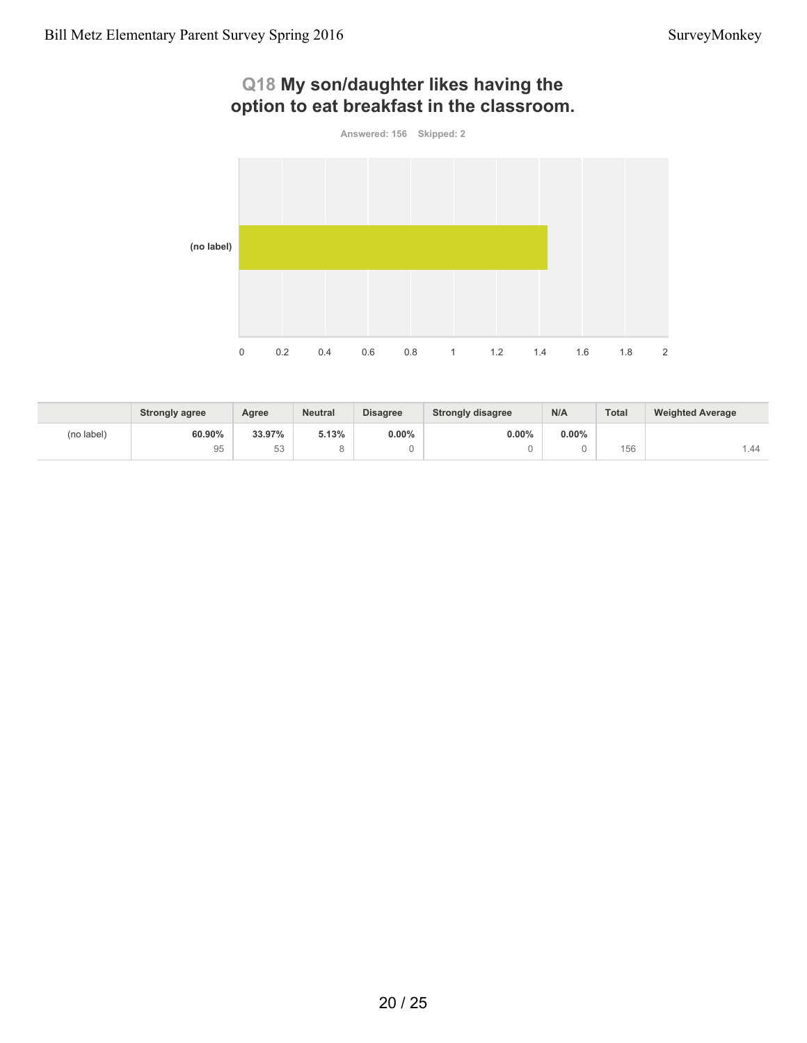# **option to eat breakfast in the classroom. Answered: 156 Skipped: 2 (no label)** 0 0.2 0.4 0.6 0.8 1 1.2 1.4 1.6 1.8 2

|            | <b>Strongly agree</b> | Agree  | <b>Neutral</b> | <b>Disagree</b> | <b>Strongly disagree</b> | N/A      | <b>Total</b> | <b>Weighted Average</b> |
|------------|-----------------------|--------|----------------|-----------------|--------------------------|----------|--------------|-------------------------|
| (no label) | 60.90%                | 33.97% | 5.13%          | $0.00\%$        | $0.00\%$                 | $0.00\%$ |              |                         |
|            | 95                    | 53     |                | $\cup$          |                          |          | 156          | . 44                    |

# **Q18 My son/daughter likes having the**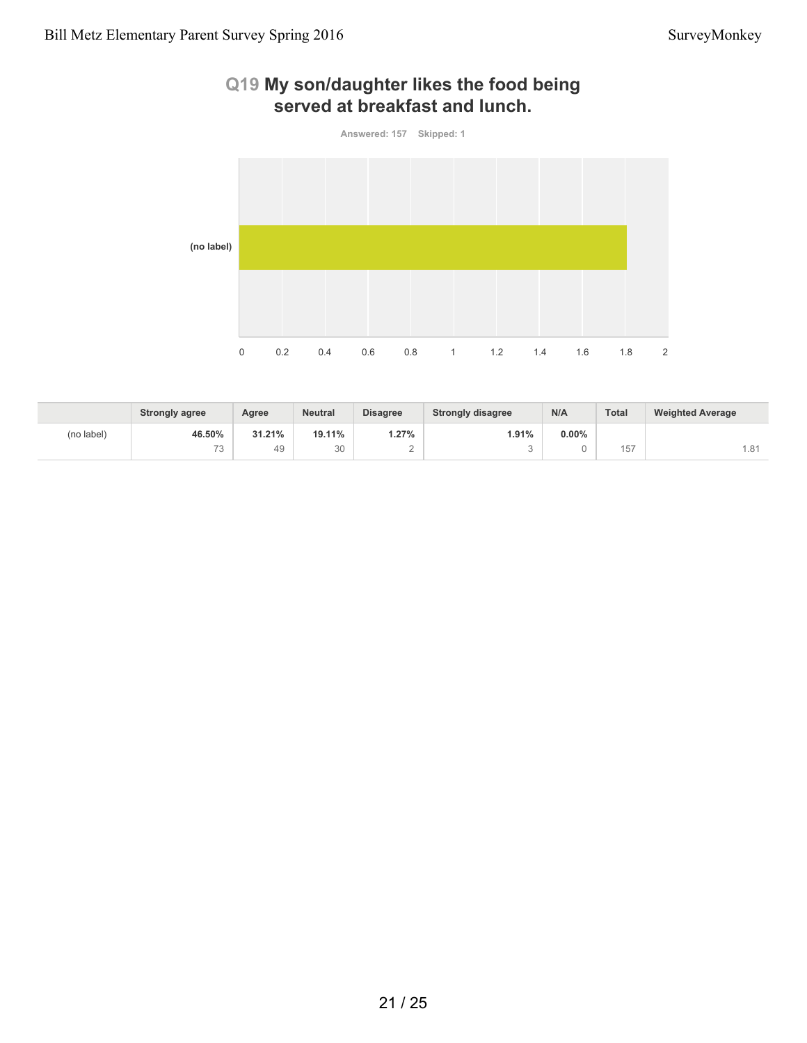# **Q19 My son/daughter likes the food being served at breakfast and lunch.**



|            | <b>Strongly agree</b>         | Agree  | <b>Neutral</b> | <b>Disagree</b> | <b>Strongly disagree</b> | N/A      | Total                                             | <b>Weighted Average</b> |
|------------|-------------------------------|--------|----------------|-----------------|--------------------------|----------|---------------------------------------------------|-------------------------|
| (no label) | 46.50%                        | 31.21% | 19.11%         | $1.27\%$        | 1.91%                    | $0.00\%$ |                                                   |                         |
|            | $\overline{\phantom{a}}$<br>ు | 49     | 30             | ∼               |                          |          | $\overline{\phantom{a}}$<br>$\overline{a}$<br>ا ب | .81                     |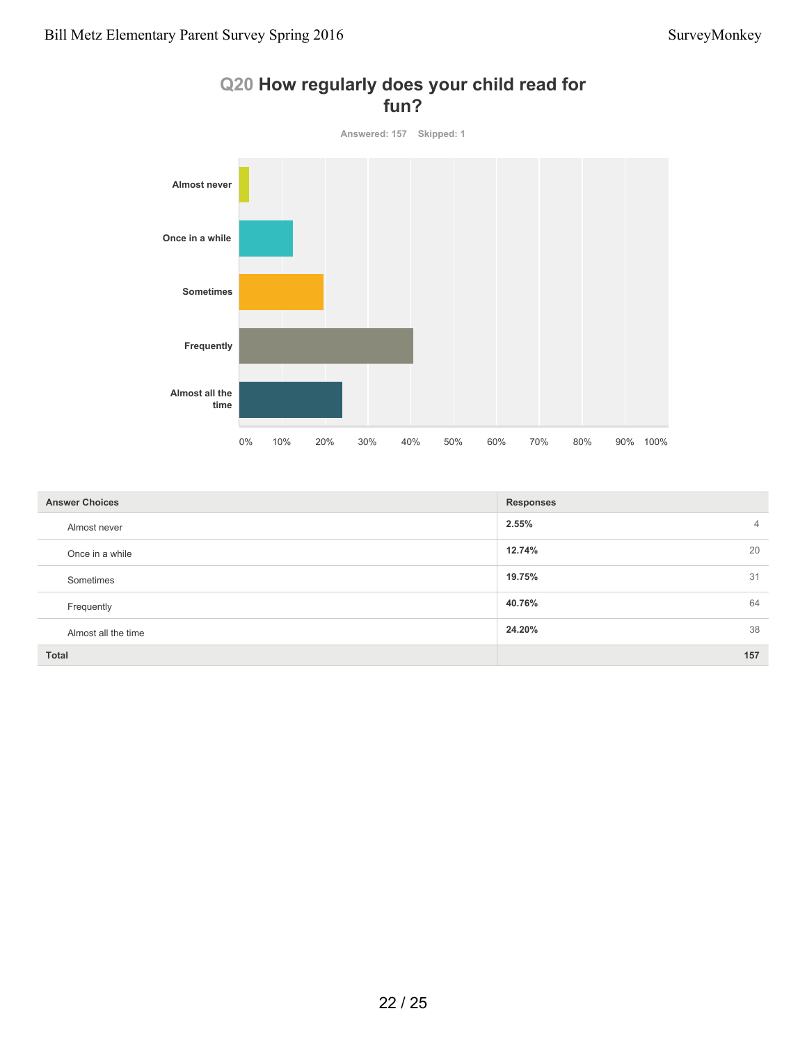

#### **Q20 How regularly does your child read for fun?**

| <b>Answer Choices</b> | <b>Responses</b>        |
|-----------------------|-------------------------|
| Almost never          | 2.55%<br>$\overline{4}$ |
| Once in a while       | 12.74%<br>20            |
| Sometimes             | 19.75%<br>31            |
| Frequently            | 64<br>40.76%            |
| Almost all the time   | 38<br>24.20%            |
| <b>Total</b>          | 157                     |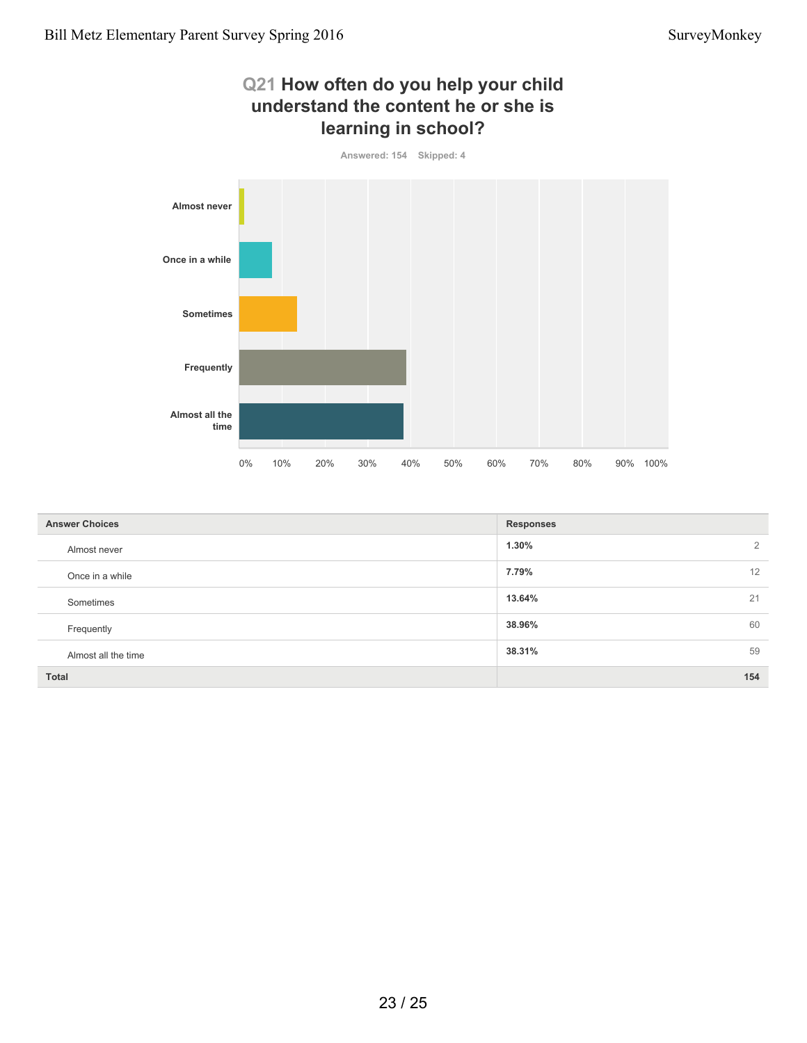## **Q21 How often do you help your child understand the content he or she is learning in school?**



| <b>Answer Choices</b> | <b>Responses</b> |
|-----------------------|------------------|
| Almost never          | 1.30%<br>2       |
| Once in a while       | 7.79%<br>12      |
| Sometimes             | 21<br>13.64%     |
| Frequently            | 38.96%<br>60     |
| Almost all the time   | 59<br>38.31%     |
| <b>Total</b>          | 154              |